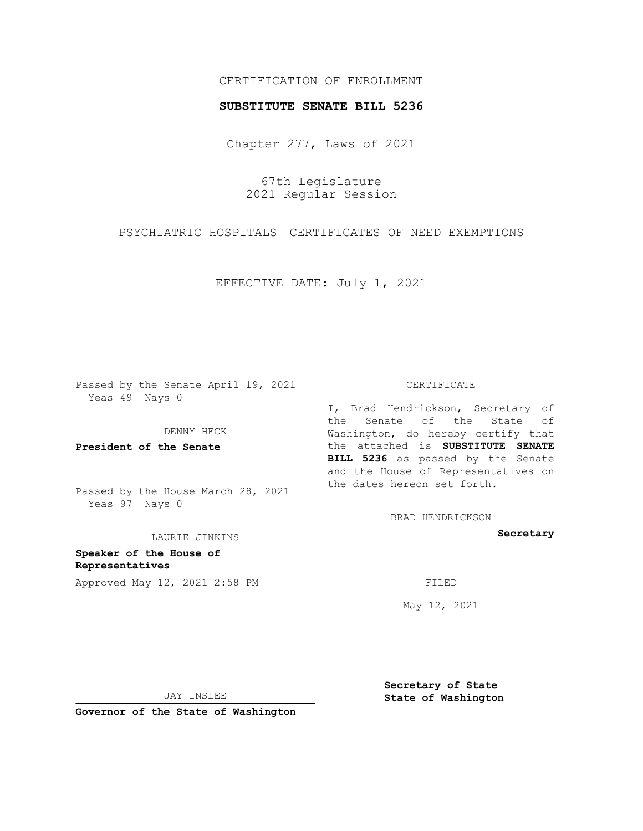# CERTIFICATION OF ENROLLMENT

## **SUBSTITUTE SENATE BILL 5236**

Chapter 277, Laws of 2021

67th Legislature 2021 Regular Session

PSYCHIATRIC HOSPITALS—CERTIFICATES OF NEED EXEMPTIONS

EFFECTIVE DATE: July 1, 2021

Passed by the Senate April 19, 2021 Yeas 49 Nays 0

DENNY HECK

**President of the Senate**

Passed by the House March 28, 2021 Yeas 97 Nays 0

LAURIE JINKINS

**Speaker of the House of Representatives** Approved May 12, 2021 2:58 PM FILED

#### CERTIFICATE

I, Brad Hendrickson, Secretary of the Senate of the State of Washington, do hereby certify that the attached is **SUBSTITUTE SENATE BILL 5236** as passed by the Senate and the House of Representatives on the dates hereon set forth.

BRAD HENDRICKSON

**Secretary**

May 12, 2021

JAY INSLEE

**Secretary of State State of Washington**

**Governor of the State of Washington**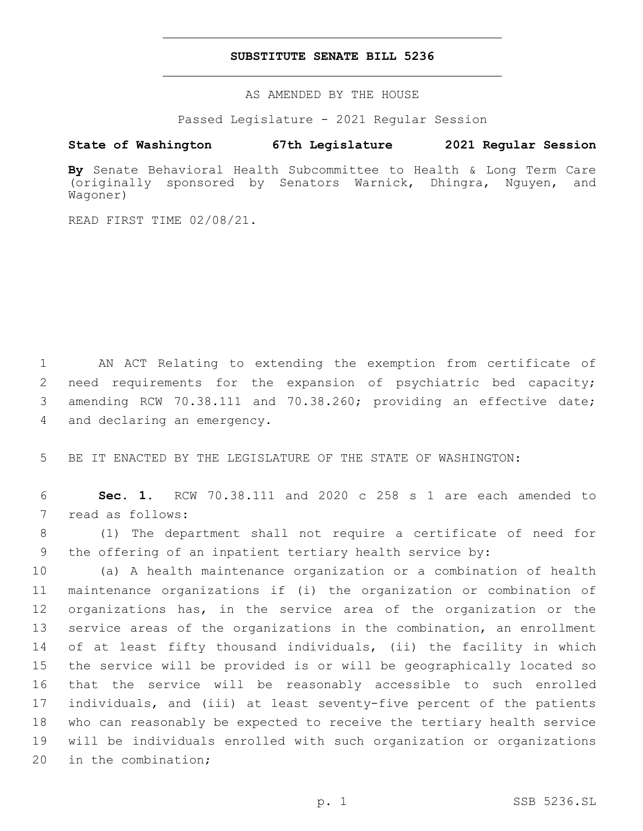### **SUBSTITUTE SENATE BILL 5236**

AS AMENDED BY THE HOUSE

Passed Legislature - 2021 Regular Session

## **State of Washington 67th Legislature 2021 Regular Session**

**By** Senate Behavioral Health Subcommittee to Health & Long Term Care (originally sponsored by Senators Warnick, Dhingra, Nguyen, and Wagoner)

READ FIRST TIME 02/08/21.

 AN ACT Relating to extending the exemption from certificate of need requirements for the expansion of psychiatric bed capacity; amending RCW 70.38.111 and 70.38.260; providing an effective date; 4 and declaring an emergency.

5 BE IT ENACTED BY THE LEGISLATURE OF THE STATE OF WASHINGTON:

6 **Sec. 1.** RCW 70.38.111 and 2020 c 258 s 1 are each amended to 7 read as follows:

8 (1) The department shall not require a certificate of need for 9 the offering of an inpatient tertiary health service by:

 (a) A health maintenance organization or a combination of health maintenance organizations if (i) the organization or combination of organizations has, in the service area of the organization or the service areas of the organizations in the combination, an enrollment of at least fifty thousand individuals, (ii) the facility in which the service will be provided is or will be geographically located so that the service will be reasonably accessible to such enrolled individuals, and (iii) at least seventy-five percent of the patients who can reasonably be expected to receive the tertiary health service will be individuals enrolled with such organization or organizations 20 in the combination;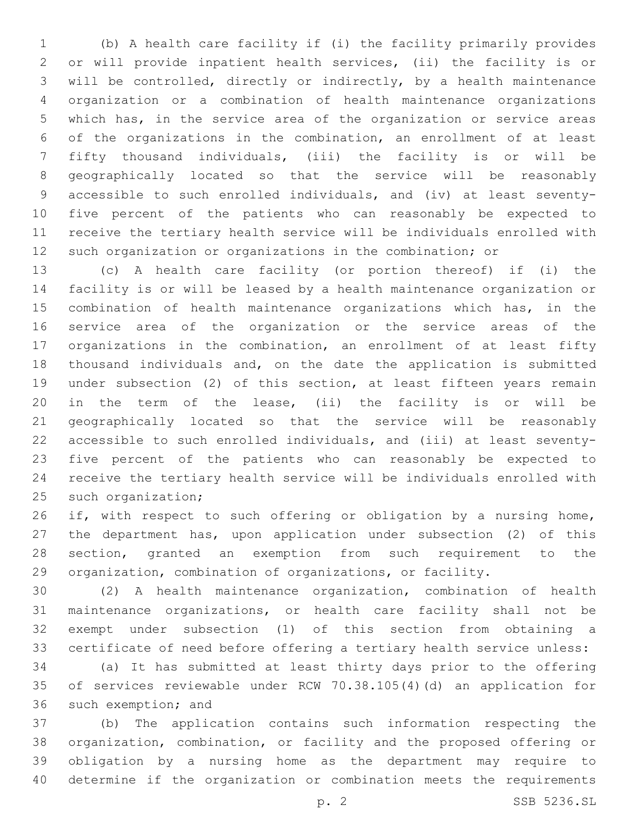(b) A health care facility if (i) the facility primarily provides or will provide inpatient health services, (ii) the facility is or will be controlled, directly or indirectly, by a health maintenance organization or a combination of health maintenance organizations which has, in the service area of the organization or service areas of the organizations in the combination, an enrollment of at least fifty thousand individuals, (iii) the facility is or will be geographically located so that the service will be reasonably accessible to such enrolled individuals, and (iv) at least seventy- five percent of the patients who can reasonably be expected to receive the tertiary health service will be individuals enrolled with such organization or organizations in the combination; or

 (c) A health care facility (or portion thereof) if (i) the facility is or will be leased by a health maintenance organization or combination of health maintenance organizations which has, in the service area of the organization or the service areas of the organizations in the combination, an enrollment of at least fifty thousand individuals and, on the date the application is submitted under subsection (2) of this section, at least fifteen years remain in the term of the lease, (ii) the facility is or will be geographically located so that the service will be reasonably accessible to such enrolled individuals, and (iii) at least seventy- five percent of the patients who can reasonably be expected to receive the tertiary health service will be individuals enrolled with 25 such organization;

26 if, with respect to such offering or obligation by a nursing home, the department has, upon application under subsection (2) of this section, granted an exemption from such requirement to the organization, combination of organizations, or facility.

 (2) A health maintenance organization, combination of health maintenance organizations, or health care facility shall not be exempt under subsection (1) of this section from obtaining a certificate of need before offering a tertiary health service unless:

 (a) It has submitted at least thirty days prior to the offering of services reviewable under RCW 70.38.105(4)(d) an application for 36 such exemption; and

 (b) The application contains such information respecting the organization, combination, or facility and the proposed offering or obligation by a nursing home as the department may require to determine if the organization or combination meets the requirements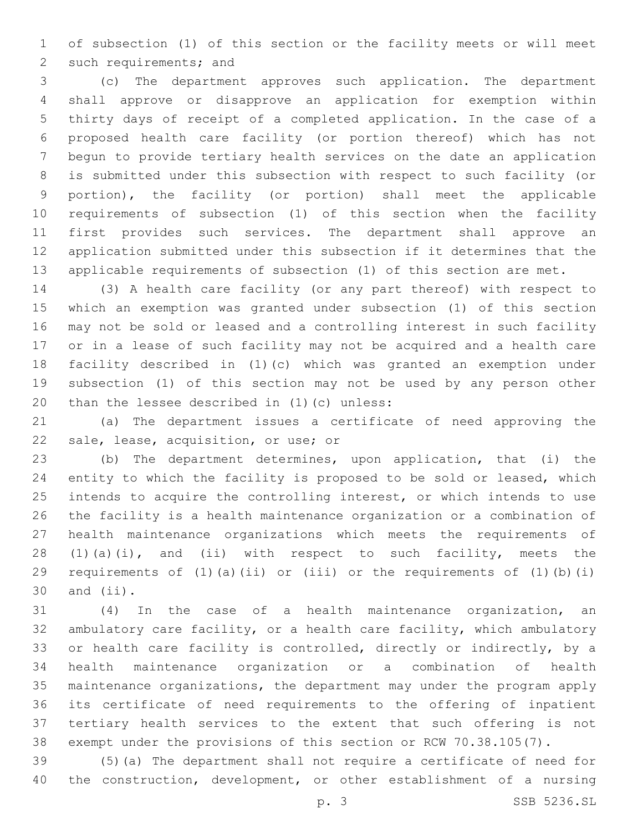of subsection (1) of this section or the facility meets or will meet 2 such requirements; and

 (c) The department approves such application. The department shall approve or disapprove an application for exemption within thirty days of receipt of a completed application. In the case of a proposed health care facility (or portion thereof) which has not begun to provide tertiary health services on the date an application is submitted under this subsection with respect to such facility (or portion), the facility (or portion) shall meet the applicable requirements of subsection (1) of this section when the facility first provides such services. The department shall approve an application submitted under this subsection if it determines that the applicable requirements of subsection (1) of this section are met.

 (3) A health care facility (or any part thereof) with respect to which an exemption was granted under subsection (1) of this section may not be sold or leased and a controlling interest in such facility or in a lease of such facility may not be acquired and a health care facility described in (1)(c) which was granted an exemption under subsection (1) of this section may not be used by any person other 20 than the lessee described in  $(1)(c)$  unless:

 (a) The department issues a certificate of need approving the 22 sale, lease, acquisition, or use; or

 (b) The department determines, upon application, that (i) the entity to which the facility is proposed to be sold or leased, which intends to acquire the controlling interest, or which intends to use the facility is a health maintenance organization or a combination of health maintenance organizations which meets the requirements of 28 (1)(a)(i), and (ii) with respect to such facility, meets the requirements of (1)(a)(ii) or (iii) or the requirements of (1)(b)(i) and  $(i)$ .

 (4) In the case of a health maintenance organization, an ambulatory care facility, or a health care facility, which ambulatory or health care facility is controlled, directly or indirectly, by a health maintenance organization or a combination of health maintenance organizations, the department may under the program apply its certificate of need requirements to the offering of inpatient tertiary health services to the extent that such offering is not exempt under the provisions of this section or RCW 70.38.105(7).

 (5)(a) The department shall not require a certificate of need for the construction, development, or other establishment of a nursing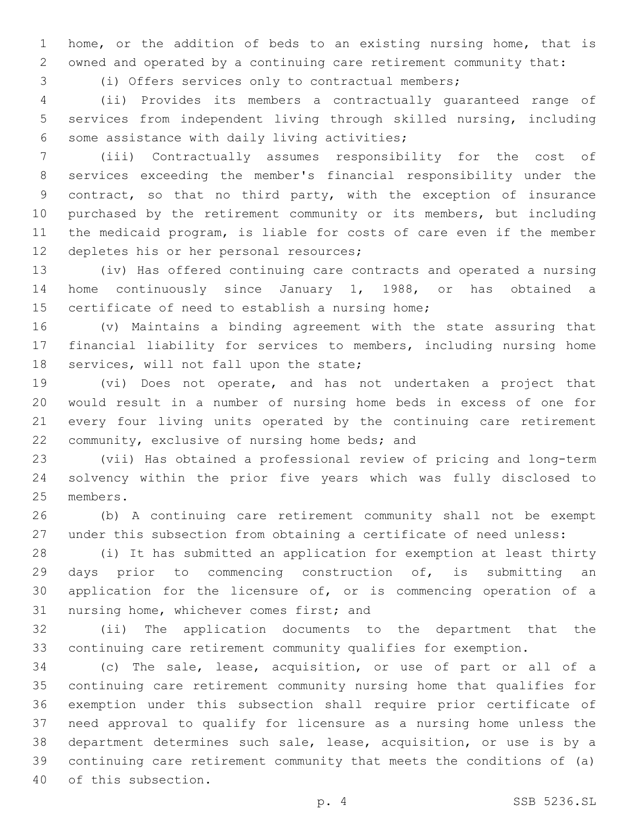home, or the addition of beds to an existing nursing home, that is owned and operated by a continuing care retirement community that:

(i) Offers services only to contractual members;

 (ii) Provides its members a contractually guaranteed range of services from independent living through skilled nursing, including 6 some assistance with daily living activities;

 (iii) Contractually assumes responsibility for the cost of services exceeding the member's financial responsibility under the contract, so that no third party, with the exception of insurance purchased by the retirement community or its members, but including the medicaid program, is liable for costs of care even if the member 12 depletes his or her personal resources;

 (iv) Has offered continuing care contracts and operated a nursing home continuously since January 1, 1988, or has obtained a 15 certificate of need to establish a nursing home;

 (v) Maintains a binding agreement with the state assuring that financial liability for services to members, including nursing home 18 services, will not fall upon the state;

 (vi) Does not operate, and has not undertaken a project that would result in a number of nursing home beds in excess of one for every four living units operated by the continuing care retirement 22 community, exclusive of nursing home beds; and

 (vii) Has obtained a professional review of pricing and long-term solvency within the prior five years which was fully disclosed to 25 members.

 (b) A continuing care retirement community shall not be exempt under this subsection from obtaining a certificate of need unless:

 (i) It has submitted an application for exemption at least thirty days prior to commencing construction of, is submitting an application for the licensure of, or is commencing operation of a 31 nursing home, whichever comes first; and

 (ii) The application documents to the department that the continuing care retirement community qualifies for exemption.

 (c) The sale, lease, acquisition, or use of part or all of a continuing care retirement community nursing home that qualifies for exemption under this subsection shall require prior certificate of need approval to qualify for licensure as a nursing home unless the department determines such sale, lease, acquisition, or use is by a continuing care retirement community that meets the conditions of (a) 40 of this subsection.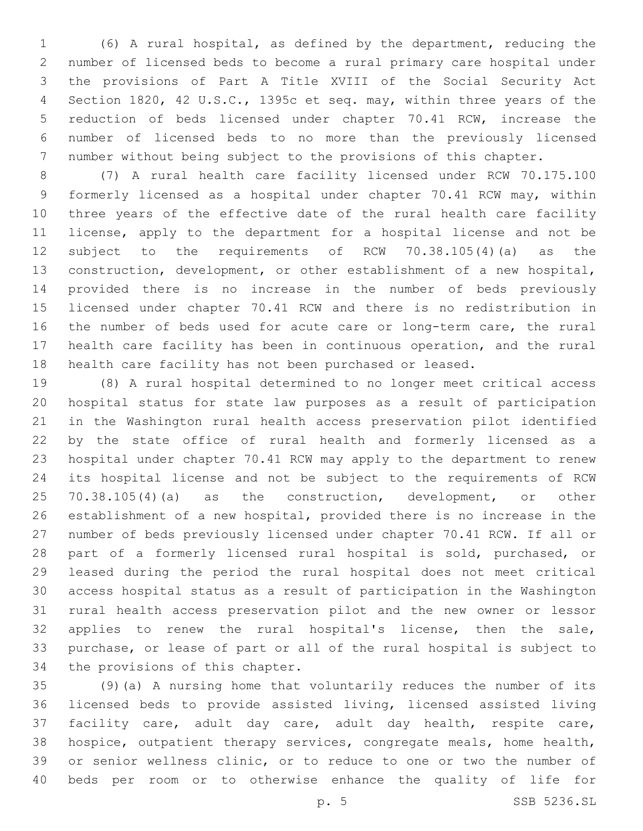(6) A rural hospital, as defined by the department, reducing the number of licensed beds to become a rural primary care hospital under the provisions of Part A Title XVIII of the Social Security Act Section 1820, 42 U.S.C., 1395c et seq. may, within three years of the reduction of beds licensed under chapter 70.41 RCW, increase the number of licensed beds to no more than the previously licensed number without being subject to the provisions of this chapter.

 (7) A rural health care facility licensed under RCW 70.175.100 formerly licensed as a hospital under chapter 70.41 RCW may, within three years of the effective date of the rural health care facility license, apply to the department for a hospital license and not be subject to the requirements of RCW 70.38.105(4)(a) as the construction, development, or other establishment of a new hospital, provided there is no increase in the number of beds previously licensed under chapter 70.41 RCW and there is no redistribution in the number of beds used for acute care or long-term care, the rural health care facility has been in continuous operation, and the rural health care facility has not been purchased or leased.

 (8) A rural hospital determined to no longer meet critical access hospital status for state law purposes as a result of participation in the Washington rural health access preservation pilot identified by the state office of rural health and formerly licensed as a hospital under chapter 70.41 RCW may apply to the department to renew its hospital license and not be subject to the requirements of RCW 25 70.38.105(4)(a) as the construction, development, or other establishment of a new hospital, provided there is no increase in the number of beds previously licensed under chapter 70.41 RCW. If all or part of a formerly licensed rural hospital is sold, purchased, or leased during the period the rural hospital does not meet critical access hospital status as a result of participation in the Washington rural health access preservation pilot and the new owner or lessor applies to renew the rural hospital's license, then the sale, purchase, or lease of part or all of the rural hospital is subject to 34 the provisions of this chapter.

 (9)(a) A nursing home that voluntarily reduces the number of its licensed beds to provide assisted living, licensed assisted living facility care, adult day care, adult day health, respite care, hospice, outpatient therapy services, congregate meals, home health, or senior wellness clinic, or to reduce to one or two the number of beds per room or to otherwise enhance the quality of life for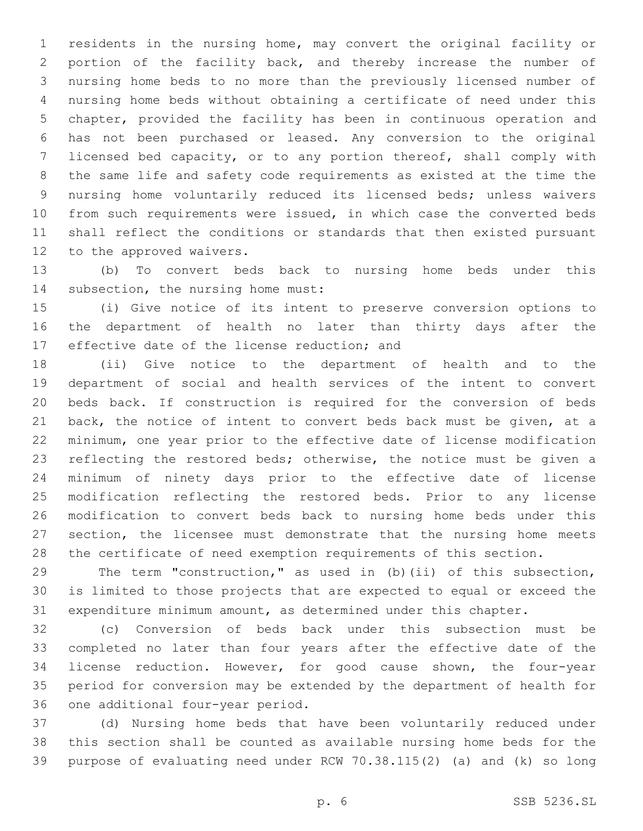residents in the nursing home, may convert the original facility or portion of the facility back, and thereby increase the number of nursing home beds to no more than the previously licensed number of nursing home beds without obtaining a certificate of need under this chapter, provided the facility has been in continuous operation and has not been purchased or leased. Any conversion to the original licensed bed capacity, or to any portion thereof, shall comply with the same life and safety code requirements as existed at the time the nursing home voluntarily reduced its licensed beds; unless waivers from such requirements were issued, in which case the converted beds shall reflect the conditions or standards that then existed pursuant 12 to the approved waivers.

 (b) To convert beds back to nursing home beds under this 14 subsection, the nursing home must:

 (i) Give notice of its intent to preserve conversion options to the department of health no later than thirty days after the 17 effective date of the license reduction; and

 (ii) Give notice to the department of health and to the department of social and health services of the intent to convert beds back. If construction is required for the conversion of beds back, the notice of intent to convert beds back must be given, at a minimum, one year prior to the effective date of license modification reflecting the restored beds; otherwise, the notice must be given a minimum of ninety days prior to the effective date of license modification reflecting the restored beds. Prior to any license modification to convert beds back to nursing home beds under this section, the licensee must demonstrate that the nursing home meets the certificate of need exemption requirements of this section.

 The term "construction," as used in (b)(ii) of this subsection, is limited to those projects that are expected to equal or exceed the expenditure minimum amount, as determined under this chapter.

 (c) Conversion of beds back under this subsection must be completed no later than four years after the effective date of the license reduction. However, for good cause shown, the four-year period for conversion may be extended by the department of health for 36 one additional four-year period.

 (d) Nursing home beds that have been voluntarily reduced under this section shall be counted as available nursing home beds for the purpose of evaluating need under RCW 70.38.115(2) (a) and (k) so long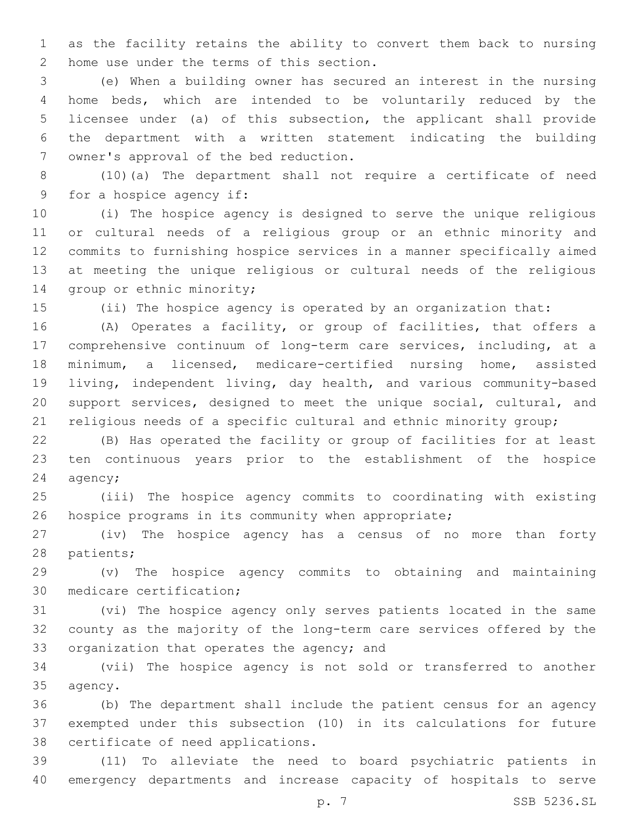as the facility retains the ability to convert them back to nursing 2 home use under the terms of this section.

 (e) When a building owner has secured an interest in the nursing home beds, which are intended to be voluntarily reduced by the licensee under (a) of this subsection, the applicant shall provide the department with a written statement indicating the building 7 owner's approval of the bed reduction.

 (10)(a) The department shall not require a certificate of need 9 for a hospice agency if:

 (i) The hospice agency is designed to serve the unique religious or cultural needs of a religious group or an ethnic minority and commits to furnishing hospice services in a manner specifically aimed at meeting the unique religious or cultural needs of the religious 14 group or ethnic minority;

(ii) The hospice agency is operated by an organization that:

 (A) Operates a facility, or group of facilities, that offers a comprehensive continuum of long-term care services, including, at a minimum, a licensed, medicare-certified nursing home, assisted living, independent living, day health, and various community-based support services, designed to meet the unique social, cultural, and 21 religious needs of a specific cultural and ethnic minority group;

 (B) Has operated the facility or group of facilities for at least ten continuous years prior to the establishment of the hospice 24 agency;

 (iii) The hospice agency commits to coordinating with existing hospice programs in its community when appropriate;

 (iv) The hospice agency has a census of no more than forty 28 patients;

 (v) The hospice agency commits to obtaining and maintaining 30 medicare certification;

 (vi) The hospice agency only serves patients located in the same county as the majority of the long-term care services offered by the 33 organization that operates the agency; and

 (vii) The hospice agency is not sold or transferred to another 35 agency.

 (b) The department shall include the patient census for an agency exempted under this subsection (10) in its calculations for future 38 certificate of need applications.

 (11) To alleviate the need to board psychiatric patients in emergency departments and increase capacity of hospitals to serve

p. 7 SSB 5236.SL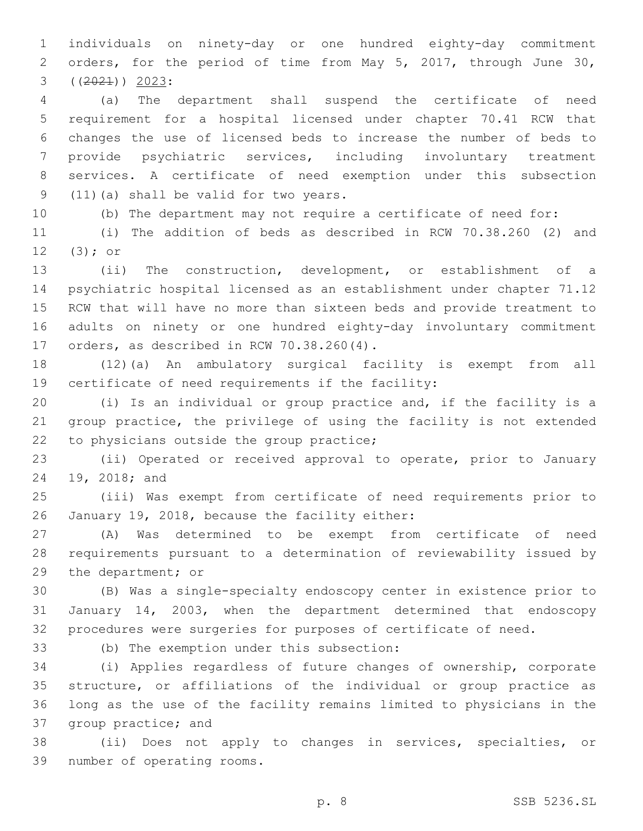individuals on ninety-day or one hundred eighty-day commitment orders, for the period of time from May 5, 2017, through June 30,  $(2021)$ )  $2023$ :

 (a) The department shall suspend the certificate of need requirement for a hospital licensed under chapter 70.41 RCW that changes the use of licensed beds to increase the number of beds to provide psychiatric services, including involuntary treatment services. A certificate of need exemption under this subsection 9 (11)(a) shall be valid for two years.

(b) The department may not require a certificate of need for:

 (i) The addition of beds as described in RCW 70.38.260 (2) and  $(3);$  or

 (ii) The construction, development, or establishment of a psychiatric hospital licensed as an establishment under chapter 71.12 RCW that will have no more than sixteen beds and provide treatment to adults on ninety or one hundred eighty-day involuntary commitment 17 orders, as described in RCW 70.38.260(4).

 (12)(a) An ambulatory surgical facility is exempt from all 19 certificate of need requirements if the facility:

 (i) Is an individual or group practice and, if the facility is a group practice, the privilege of using the facility is not extended 22 to physicians outside the group practice;

 (ii) Operated or received approval to operate, prior to January 24 19, 2018; and

 (iii) Was exempt from certificate of need requirements prior to 26 January 19, 2018, because the facility either:

 (A) Was determined to be exempt from certificate of need requirements pursuant to a determination of reviewability issued by 29 the department; or

 (B) Was a single-specialty endoscopy center in existence prior to January 14, 2003, when the department determined that endoscopy procedures were surgeries for purposes of certificate of need.

(b) The exemption under this subsection:

 (i) Applies regardless of future changes of ownership, corporate structure, or affiliations of the individual or group practice as long as the use of the facility remains limited to physicians in the 37 group practice; and

 (ii) Does not apply to changes in services, specialties, or 39 number of operating rooms.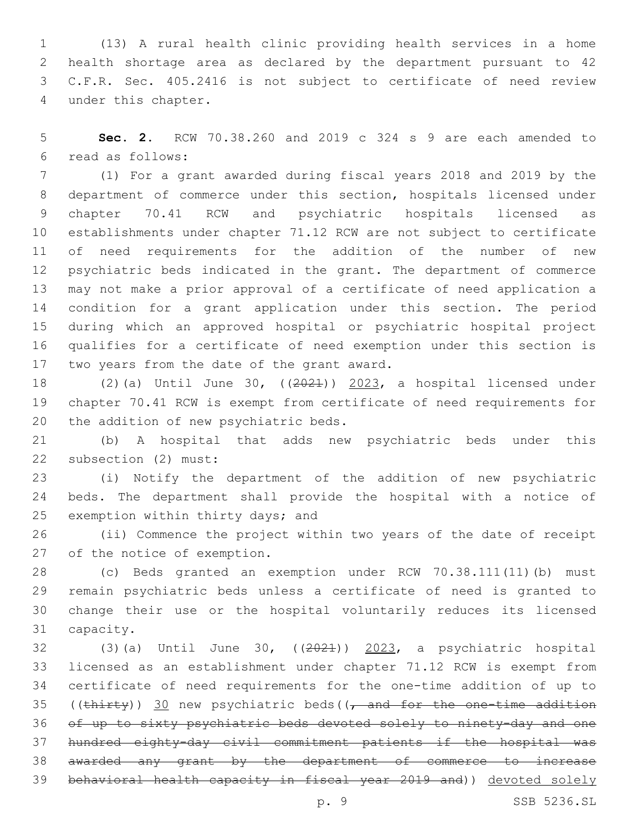(13) A rural health clinic providing health services in a home health shortage area as declared by the department pursuant to 42 C.F.R. Sec. 405.2416 is not subject to certificate of need review under this chapter.4

 **Sec. 2.** RCW 70.38.260 and 2019 c 324 s 9 are each amended to read as follows:6

 (1) For a grant awarded during fiscal years 2018 and 2019 by the department of commerce under this section, hospitals licensed under chapter 70.41 RCW and psychiatric hospitals licensed as establishments under chapter 71.12 RCW are not subject to certificate of need requirements for the addition of the number of new psychiatric beds indicated in the grant. The department of commerce may not make a prior approval of a certificate of need application a condition for a grant application under this section. The period during which an approved hospital or psychiatric hospital project qualifies for a certificate of need exemption under this section is 17 two years from the date of the grant award.

 (2)(a) Until June 30, ((2021)) 2023, a hospital licensed under chapter 70.41 RCW is exempt from certificate of need requirements for 20 the addition of new psychiatric beds.

 (b) A hospital that adds new psychiatric beds under this 22 subsection (2) must:

 (i) Notify the department of the addition of new psychiatric beds. The department shall provide the hospital with a notice of 25 exemption within thirty days; and

 (ii) Commence the project within two years of the date of receipt 27 of the notice of exemption.

 (c) Beds granted an exemption under RCW 70.38.111(11)(b) must remain psychiatric beds unless a certificate of need is granted to change their use or the hospital voluntarily reduces its licensed 31 capacity.

 (3)(a) Until June 30, ((2021)) 2023, a psychiatric hospital licensed as an establishment under chapter 71.12 RCW is exempt from certificate of need requirements for the one-time addition of up to 35 (( $\frac{\text{thirty}}{\text{30}}$  new psychiatric beds(( $\frac{\text{and for the one-time addition}}{\text{60}}$  of up to sixty psychiatric beds devoted solely to ninety-day and one hundred eighty-day civil commitment patients if the hospital was awarded any grant by the department of commerce to increase behavioral health capacity in fiscal year 2019 and)) devoted solely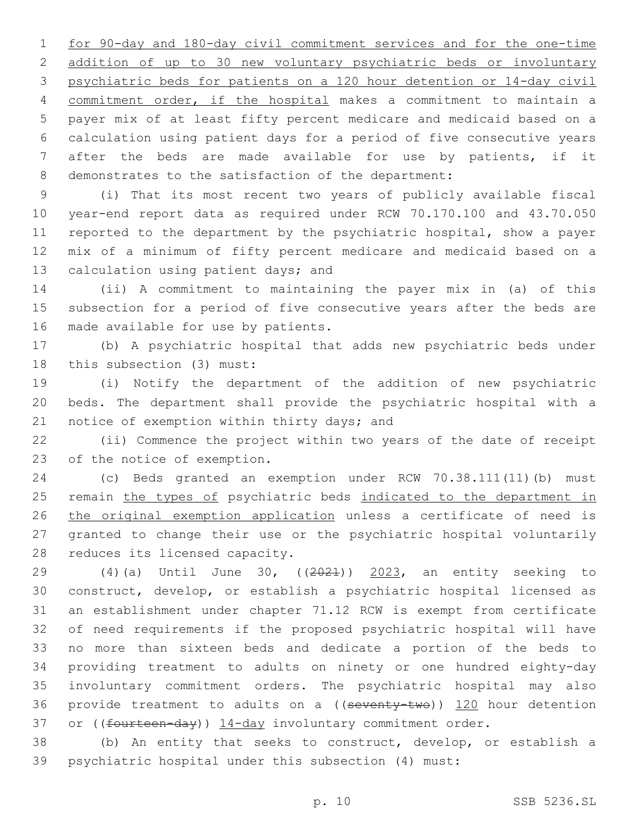for 90-day and 180-day civil commitment services and for the one-time addition of up to 30 new voluntary psychiatric beds or involuntary psychiatric beds for patients on a 120 hour detention or 14-day civil commitment order, if the hospital makes a commitment to maintain a payer mix of at least fifty percent medicare and medicaid based on a calculation using patient days for a period of five consecutive years after the beds are made available for use by patients, if it demonstrates to the satisfaction of the department:

 (i) That its most recent two years of publicly available fiscal year-end report data as required under RCW 70.170.100 and 43.70.050 reported to the department by the psychiatric hospital, show a payer mix of a minimum of fifty percent medicare and medicaid based on a 13 calculation using patient days; and

 (ii) A commitment to maintaining the payer mix in (a) of this subsection for a period of five consecutive years after the beds are 16 made available for use by patients.

 (b) A psychiatric hospital that adds new psychiatric beds under 18 this subsection (3) must:

 (i) Notify the department of the addition of new psychiatric beds. The department shall provide the psychiatric hospital with a 21 notice of exemption within thirty days; and

 (ii) Commence the project within two years of the date of receipt 23 of the notice of exemption.

 (c) Beds granted an exemption under RCW 70.38.111(11)(b) must 25 remain the types of psychiatric beds indicated to the department in 26 the original exemption application unless a certificate of need is granted to change their use or the psychiatric hospital voluntarily 28 reduces its licensed capacity.

 $(4)(a)$  Until June 30,  $(2021)$  2023, an entity seeking to construct, develop, or establish a psychiatric hospital licensed as an establishment under chapter 71.12 RCW is exempt from certificate of need requirements if the proposed psychiatric hospital will have no more than sixteen beds and dedicate a portion of the beds to providing treatment to adults on ninety or one hundred eighty-day involuntary commitment orders. The psychiatric hospital may also 36 provide treatment to adults on a ((seventy-two)) 120 hour detention 37 or ((fourteen-day)) 14-day involuntary commitment order.

 (b) An entity that seeks to construct, develop, or establish a psychiatric hospital under this subsection (4) must: